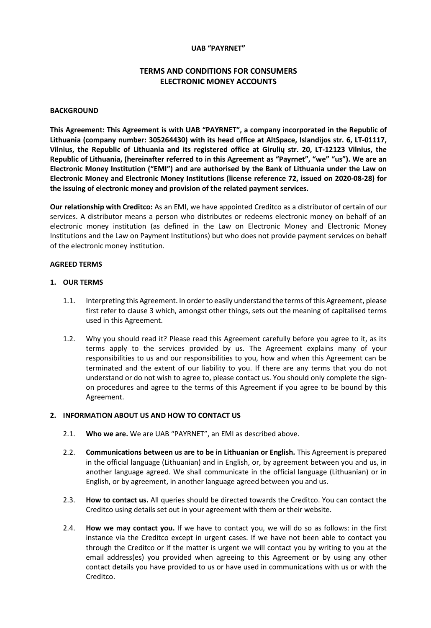### **UAB "PAYRNET"**

# **TERMS AND CONDITIONS FOR CONSUMERS ELECTRONIC MONEY ACCOUNTS**

#### **BACKGROUND**

**This Agreement: This Agreement is with UAB "PAYRNET", a company incorporated in the Republic of Lithuania (company number: 305264430) with its head office at AltSpace, Islandijos str. 6, LT-01117, Vilnius, the Republic of Lithuania and its registered office at Girulių str. 20, LT-12123 Vilnius, the Republic of Lithuania, (hereinafter referred to in this Agreement as "Payrnet", "we" "us"). We are an Electronic Money Institution ("EMI") and are authorised by the Bank of Lithuania under the Law on Electronic Money and Electronic Money Institutions (license reference 72, issued on 2020-08-28) for the issuing of electronic money and provision of the related payment services.**

**Our relationship with Creditco:** As an EMI, we have appointed Creditco as a distributor of certain of our services. A distributor means a person who distributes or redeems electronic money on behalf of an electronic money institution (as defined in the Law on Electronic Money and Electronic Money Institutions and the Law on Payment Institutions) but who does not provide payment services on behalf of the electronic money institution.

#### **AGREED TERMS**

#### **1. OUR TERMS**

- 1.1. Interpreting this Agreement. In order to easily understand the terms of this Agreement, please first refer to clause 3 which, amongst other things, sets out the meaning of capitalised terms used in this Agreement.
- 1.2. Why you should read it? Please read this Agreement carefully before you agree to it, as its terms apply to the services provided by us. The Agreement explains many of your responsibilities to us and our responsibilities to you, how and when this Agreement can be terminated and the extent of our liability to you. If there are any terms that you do not understand or do not wish to agree to, please contact us. You should only complete the signon procedures and agree to the terms of this Agreement if you agree to be bound by this Agreement.

#### **2. INFORMATION ABOUT US AND HOW TO CONTACT US**

- 2.1. **Who we are.** We are UAB "PAYRNET", an EMI as described above.
- 2.2. **Communications between us are to be in Lithuanian or English.** This Agreement is prepared in the official language (Lithuanian) and in English, or, by agreement between you and us, in another language agreed. We shall communicate in the official language (Lithuanian) or in English, or by agreement, in another language agreed between you and us.
- 2.3. **How to contact us.** All queries should be directed towards the Creditco. You can contact the Creditco using details set out in your agreement with them or their website.
- 2.4. **How we may contact you.** If we have to contact you, we will do so as follows: in the first instance via the Creditco except in urgent cases. If we have not been able to contact you through the Creditco or if the matter is urgent we will contact you by writing to you at the email address(es) you provided when agreeing to this Agreement or by using any other contact details you have provided to us or have used in communications with us or with the Creditco.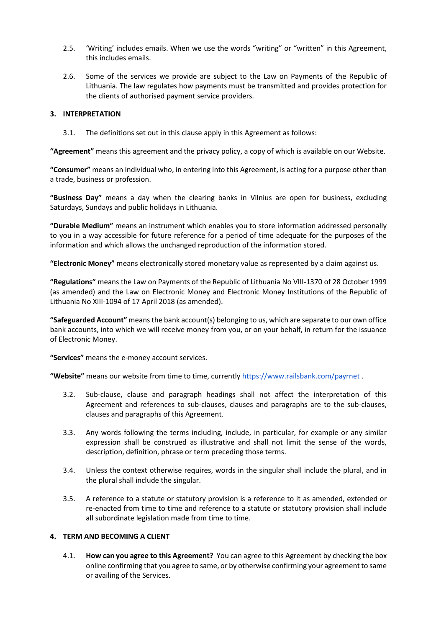- 2.5. 'Writing' includes emails. When we use the words "writing" or "written" in this Agreement, this includes emails.
- 2.6. Some of the services we provide are subject to the Law on Payments of the Republic of Lithuania. The law regulates how payments must be transmitted and provides protection for the clients of authorised payment service providers.

## **3. INTERPRETATION**

3.1. The definitions set out in this clause apply in this Agreement as follows:

**"Agreement"** means this agreement and the privacy policy, a copy of which is available on our Website.

**"Consumer"** means an individual who, in entering into this Agreement, is acting for a purpose other than a trade, business or profession.

**"Business Day"** means a day when the clearing banks in Vilnius are open for business, excluding Saturdays, Sundays and public holidays in Lithuania.

**"Durable Medium"** means an instrument which enables you to store information addressed personally to you in a way accessible for future reference for a period of time adequate for the purposes of the information and which allows the unchanged reproduction of the information stored.

**"Electronic Money"** means electronically stored monetary value as represented by a claim against us.

**"Regulations"** means the Law on Payments of the Republic of Lithuania No VIII-1370 of 28 October 1999 (as amended) and the Law on Electronic Money and Electronic Money Institutions of the Republic of Lithuania No XIII-1094 of 17 April 2018 (as amended).

**"Safeguarded Account"** means the bank account(s) belonging to us, which are separate to our own office bank accounts, into which we will receive money from you, or on your behalf, in return for the issuance of Electronic Money.

**"Services"** means the e-money account services.

**"Website"** means our website from time to time, currentl[y https://www.railsbank.com/payrnet](https://www.railsbank.com/payrnet) .

- 3.2. Sub-clause, clause and paragraph headings shall not affect the interpretation of this Agreement and references to sub-clauses, clauses and paragraphs are to the sub-clauses, clauses and paragraphs of this Agreement.
- 3.3. Any words following the terms including, include, in particular, for example or any similar expression shall be construed as illustrative and shall not limit the sense of the words, description, definition, phrase or term preceding those terms.
- 3.4. Unless the context otherwise requires, words in the singular shall include the plural, and in the plural shall include the singular.
- 3.5. A reference to a statute or statutory provision is a reference to it as amended, extended or re-enacted from time to time and reference to a statute or statutory provision shall include all subordinate legislation made from time to time.

### **4. TERM AND BECOMING A CLIENT**

4.1. **How can you agree to this Agreement?** You can agree to this Agreement by checking the box online confirming that you agree to same, or by otherwise confirming your agreement to same or availing of the Services.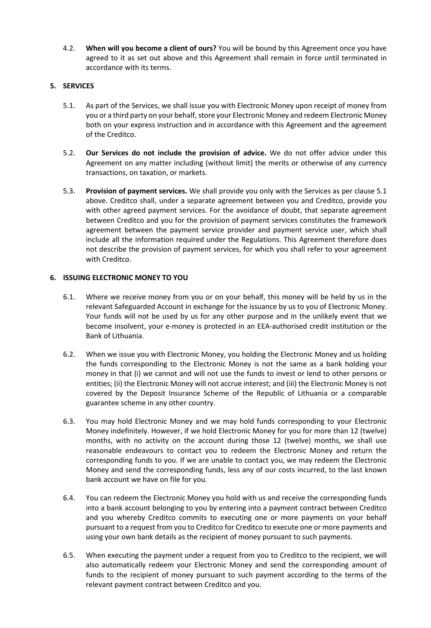4.2. **When will you become a client of ours?** You will be bound by this Agreement once you have agreed to it as set out above and this Agreement shall remain in force until terminated in accordance with its terms.

### **5. SERVICES**

- 5.1. As part of the Services, we shall issue you with Electronic Money upon receipt of money from you or a third party on your behalf, store your Electronic Money and redeem Electronic Money both on your express instruction and in accordance with this Agreement and the agreement of the Creditco.
- 5.2. **Our Services do not include the provision of advice.** We do not offer advice under this Agreement on any matter including (without limit) the merits or otherwise of any currency transactions, on taxation, or markets.
- 5.3. **Provision of payment services.** We shall provide you only with the Services as per clause 5.1 above. Creditco shall, under a separate agreement between you and Creditco, provide you with other agreed payment services. For the avoidance of doubt, that separate agreement between Creditco and you for the provision of payment services constitutes the framework agreement between the payment service provider and payment service user, which shall include all the information required under the Regulations. This Agreement therefore does not describe the provision of payment services, for which you shall refer to your agreement with Creditco.

### **6. ISSUING ELECTRONIC MONEY TO YOU**

- 6.1. Where we receive money from you or on your behalf, this money will be held by us in the relevant Safeguarded Account in exchange for the issuance by us to you of Electronic Money. Your funds will not be used by us for any other purpose and in the unlikely event that we become insolvent, your e-money is protected in an EEA-authorised credit institution or the Bank of Lithuania.
- 6.2. When we issue you with Electronic Money, you holding the Electronic Money and us holding the funds corresponding to the Electronic Money is not the same as a bank holding your money in that (i) we cannot and will not use the funds to invest or lend to other persons or entities; (ii) the Electronic Money will not accrue interest; and (iii) the Electronic Money is not covered by the Deposit Insurance Scheme of the Republic of Lithuania or a comparable guarantee scheme in any other country.
- 6.3. You may hold Electronic Money and we may hold funds corresponding to your Electronic Money indefinitely. However, if we hold Electronic Money for you for more than 12 (twelve) months, with no activity on the account during those 12 (twelve) months, we shall use reasonable endeavours to contact you to redeem the Electronic Money and return the corresponding funds to you. If we are unable to contact you, we may redeem the Electronic Money and send the corresponding funds, less any of our costs incurred, to the last known bank account we have on file for you.
- 6.4. You can redeem the Electronic Money you hold with us and receive the corresponding funds into a bank account belonging to you by entering into a payment contract between Creditco and you whereby Creditco commits to executing one or more payments on your behalf pursuant to a request from you to Creditco for Creditco to execute one or more payments and using your own bank details as the recipient of money pursuant to such payments.
- 6.5. When executing the payment under a request from you to Creditco to the recipient, we will also automatically redeem your Electronic Money and send the corresponding amount of funds to the recipient of money pursuant to such payment according to the terms of the relevant payment contract between Creditco and you.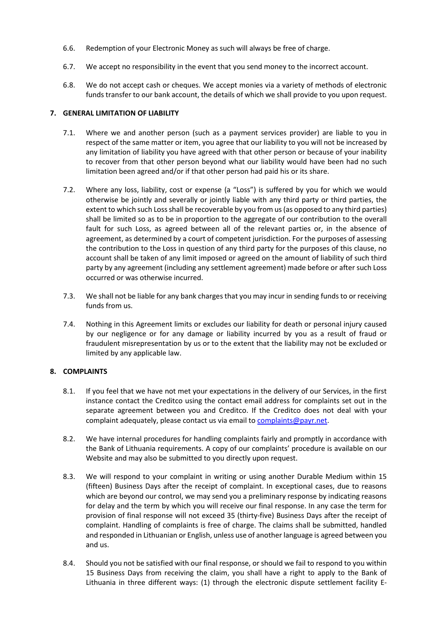- 6.6. Redemption of your Electronic Money as such will always be free of charge.
- 6.7. We accept no responsibility in the event that you send money to the incorrect account.
- 6.8. We do not accept cash or cheques. We accept monies via a variety of methods of electronic funds transfer to our bank account, the details of which we shall provide to you upon request.

## **7. GENERAL LIMITATION OF LIABILITY**

- 7.1. Where we and another person (such as a payment services provider) are liable to you in respect of the same matter or item, you agree that our liability to you will not be increased by any limitation of liability you have agreed with that other person or because of your inability to recover from that other person beyond what our liability would have been had no such limitation been agreed and/or if that other person had paid his or its share.
- 7.2. Where any loss, liability, cost or expense (a "Loss") is suffered by you for which we would otherwise be jointly and severally or jointly liable with any third party or third parties, the extent to which such Loss shall be recoverable by you from us (as opposed to any third parties) shall be limited so as to be in proportion to the aggregate of our contribution to the overall fault for such Loss, as agreed between all of the relevant parties or, in the absence of agreement, as determined by a court of competent jurisdiction. For the purposes of assessing the contribution to the Loss in question of any third party for the purposes of this clause, no account shall be taken of any limit imposed or agreed on the amount of liability of such third party by any agreement (including any settlement agreement) made before or after such Loss occurred or was otherwise incurred.
- 7.3. We shall not be liable for any bank charges that you may incur in sending funds to or receiving funds from us.
- 7.4. Nothing in this Agreement limits or excludes our liability for death or personal injury caused by our negligence or for any damage or liability incurred by you as a result of fraud or fraudulent misrepresentation by us or to the extent that the liability may not be excluded or limited by any applicable law.

## **8. COMPLAINTS**

- 8.1. If you feel that we have not met your expectations in the delivery of our Services, in the first instance contact the Creditco using the contact email address for complaints set out in the separate agreement between you and Creditco. If the Creditco does not deal with your complaint adequately, please contact us via email to complaints@payr.net.
- 8.2. We have internal procedures for handling complaints fairly and promptly in accordance with the Bank of Lithuania requirements. A copy of our complaints' procedure is available on our Website and may also be submitted to you directly upon request.
- 8.3. We will respond to your complaint in writing or using another Durable Medium within 15 (fifteen) Business Days after the receipt of complaint. In exceptional cases, due to reasons which are beyond our control, we may send you a preliminary response by indicating reasons for delay and the term by which you will receive our final response. In any case the term for provision of final response will not exceed 35 (thirty-five) Business Days after the receipt of complaint. Handling of complaints is free of charge. The claims shall be submitted, handled and responded in Lithuanian or English, unless use of another language is agreed between you and us.
- 8.4. Should you not be satisfied with our final response, or should we fail to respond to you within 15 Business Days from receiving the claim, you shall have a right to apply to the Bank of Lithuania in three different ways: (1) through the electronic dispute settlement facility E-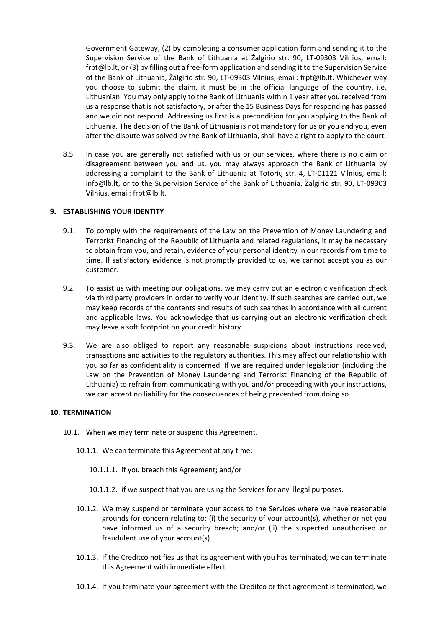Government Gateway, (2) by completing a consumer application form and sending it to the Supervision Service of the Bank of Lithuania at Žalgirio str. 90, LT-09303 Vilnius, email: frpt@lb.lt, or (3) by filling out a free-form application and sending it to the Supervision Service of the Bank of Lithuania, Žalgirio str. 90, LT-09303 Vilnius, email: frpt@lb.lt. Whichever way you choose to submit the claim, it must be in the official language of the country, i.e. Lithuanian. You may only apply to the Bank of Lithuania within 1 year after you received from us a response that is not satisfactory, or after the 15 Business Days for responding has passed and we did not respond. Addressing us first is a precondition for you applying to the Bank of Lithuania. The decision of the Bank of Lithuania is not mandatory for us or you and you, even after the dispute was solved by the Bank of Lithuania, shall have a right to apply to the court.

8.5. In case you are generally not satisfied with us or our services, where there is no claim or disagreement between you and us, you may always approach the Bank of Lithuania by addressing a complaint to the Bank of Lithuania at Totorių str. 4, LT-01121 Vilnius, email: info@lb.lt, or to the Supervision Service of the Bank of Lithuania, Žalgirio str. 90, LT-09303 Vilnius, email: frpt@lb.lt.

## **9. ESTABLISHING YOUR IDENTITY**

- 9.1. To comply with the requirements of the Law on the Prevention of Money Laundering and Terrorist Financing of the Republic of Lithuania and related regulations, it may be necessary to obtain from you, and retain, evidence of your personal identity in our records from time to time. If satisfactory evidence is not promptly provided to us, we cannot accept you as our customer.
- 9.2. To assist us with meeting our obligations, we may carry out an electronic verification check via third party providers in order to verify your identity. If such searches are carried out, we may keep records of the contents and results of such searches in accordance with all current and applicable laws. You acknowledge that us carrying out an electronic verification check may leave a soft footprint on your credit history.
- 9.3. We are also obliged to report any reasonable suspicions about instructions received, transactions and activities to the regulatory authorities. This may affect our relationship with you so far as confidentiality is concerned. If we are required under legislation (including the Law on the Prevention of Money Laundering and Terrorist Financing of the Republic of Lithuania) to refrain from communicating with you and/or proceeding with your instructions, we can accept no liability for the consequences of being prevented from doing so.

#### **10. TERMINATION**

- 10.1. When we may terminate or suspend this Agreement.
	- 10.1.1. We can terminate this Agreement at any time:
		- 10.1.1.1. if you breach this Agreement; and/or
		- 10.1.1.2. if we suspect that you are using the Services for any illegal purposes.
	- 10.1.2. We may suspend or terminate your access to the Services where we have reasonable grounds for concern relating to: (i) the security of your account(s), whether or not you have informed us of a security breach; and/or (ii) the suspected unauthorised or fraudulent use of your account(s).
	- 10.1.3. If the Creditco notifies us that its agreement with you has terminated, we can terminate this Agreement with immediate effect.
	- 10.1.4. If you terminate your agreement with the Creditco or that agreement is terminated, we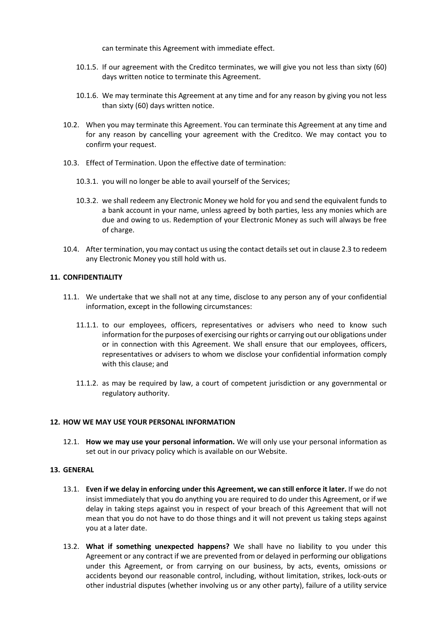can terminate this Agreement with immediate effect.

- 10.1.5. If our agreement with the Creditco terminates, we will give you not less than sixty (60) days written notice to terminate this Agreement.
- 10.1.6. We may terminate this Agreement at any time and for any reason by giving you not less than sixty (60) days written notice.
- 10.2. When you may terminate this Agreement. You can terminate this Agreement at any time and for any reason by cancelling your agreement with the Creditco. We may contact you to confirm your request.
- 10.3. Effect of Termination. Upon the effective date of termination:
	- 10.3.1. you will no longer be able to avail yourself of the Services;
	- 10.3.2. we shall redeem any Electronic Money we hold for you and send the equivalent funds to a bank account in your name, unless agreed by both parties, less any monies which are due and owing to us. Redemption of your Electronic Money as such will always be free of charge.
- 10.4. After termination, you may contact us using the contact details set out in clause 2.3 to redeem any Electronic Money you still hold with us.

### **11. CONFIDENTIALITY**

- 11.1. We undertake that we shall not at any time, disclose to any person any of your confidential information, except in the following circumstances:
	- 11.1.1. to our employees, officers, representatives or advisers who need to know such information for the purposes of exercising our rights or carrying out our obligations under or in connection with this Agreement. We shall ensure that our employees, officers, representatives or advisers to whom we disclose your confidential information comply with this clause; and
	- 11.1.2. as may be required by law, a court of competent jurisdiction or any governmental or regulatory authority.

## **12. HOW WE MAY USE YOUR PERSONAL INFORMATION**

12.1. **How we may use your personal information.** We will only use your personal information as set out in our privacy policy which is available on our Website.

## **13. GENERAL**

- 13.1. **Even if we delay in enforcing under this Agreement, we can still enforce it later.** If we do not insist immediately that you do anything you are required to do under this Agreement, or if we delay in taking steps against you in respect of your breach of this Agreement that will not mean that you do not have to do those things and it will not prevent us taking steps against you at a later date.
- 13.2. **What if something unexpected happens?** We shall have no liability to you under this Agreement or any contract if we are prevented from or delayed in performing our obligations under this Agreement, or from carrying on our business, by acts, events, omissions or accidents beyond our reasonable control, including, without limitation, strikes, lock-outs or other industrial disputes (whether involving us or any other party), failure of a utility service